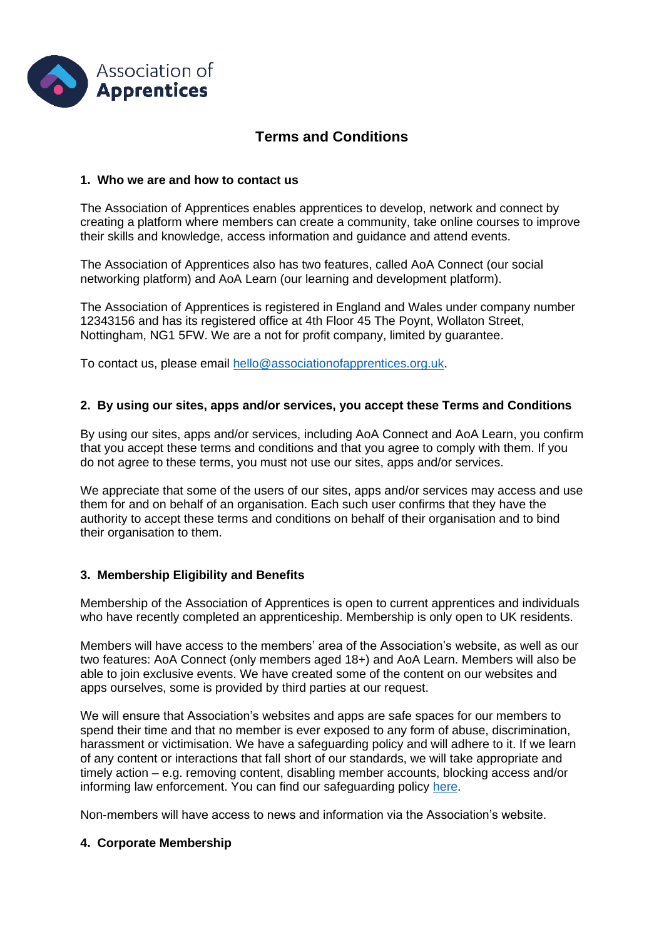

# **Terms and Conditions**

### **1. Who we are and how to contact us**

The Association of Apprentices enables apprentices to develop, network and connect by creating a platform where members can create a community, take online courses to improve their skills and knowledge, access information and guidance and attend events.

The Association of Apprentices also has two features, called AoA Connect (our social networking platform) and AoA Learn (our learning and development platform).

The Association of Apprentices is registered in England and Wales under company number 12343156 and has its registered office at 4th Floor 45 The Poynt, Wollaton Street, Nottingham, NG1 5FW. We are a not for profit company, limited by guarantee.

To contact us, please email [hello@associationofapprentices.org.uk.](mailto:hello@associationofapprentices.org.uk)

### **2. By using our sites, apps and/or services, you accept these Terms and Conditions**

By using our sites, apps and/or services, including AoA Connect and AoA Learn, you confirm that you accept these terms and conditions and that you agree to comply with them. If you do not agree to these terms, you must not use our sites, apps and/or services.

We appreciate that some of the users of our sites, apps and/or services may access and use them for and on behalf of an organisation. Each such user confirms that they have the authority to accept these terms and conditions on behalf of their organisation and to bind their organisation to them.

# **3. Membership Eligibility and Benefits**

Membership of the Association of Apprentices is open to current apprentices and individuals who have recently completed an apprenticeship. Membership is only open to UK residents.

Members will have access to the members' area of the Association's website, as well as our two features: AoA Connect (only members aged 18+) and AoA Learn. Members will also be able to join exclusive events. We have created some of the content on our websites and apps ourselves, some is provided by third parties at our request.

We will ensure that Association's websites and apps are safe spaces for our members to spend their time and that no member is ever exposed to any form of abuse, discrimination, harassment or victimisation. We have a safeguarding policy and will adhere to it. If we learn of any content or interactions that fall short of our standards, we will take appropriate and timely action – e.g. removing content, disabling member accounts, blocking access and/or informing law enforcement. You can find our safeguarding policy [here.](https://aoatest.flywheelsites.com/wp-content/uploads/2021/09/safeguarding-policy.pdf)

Non-members will have access to news and information via the Association's website.

#### **4. Corporate Membership**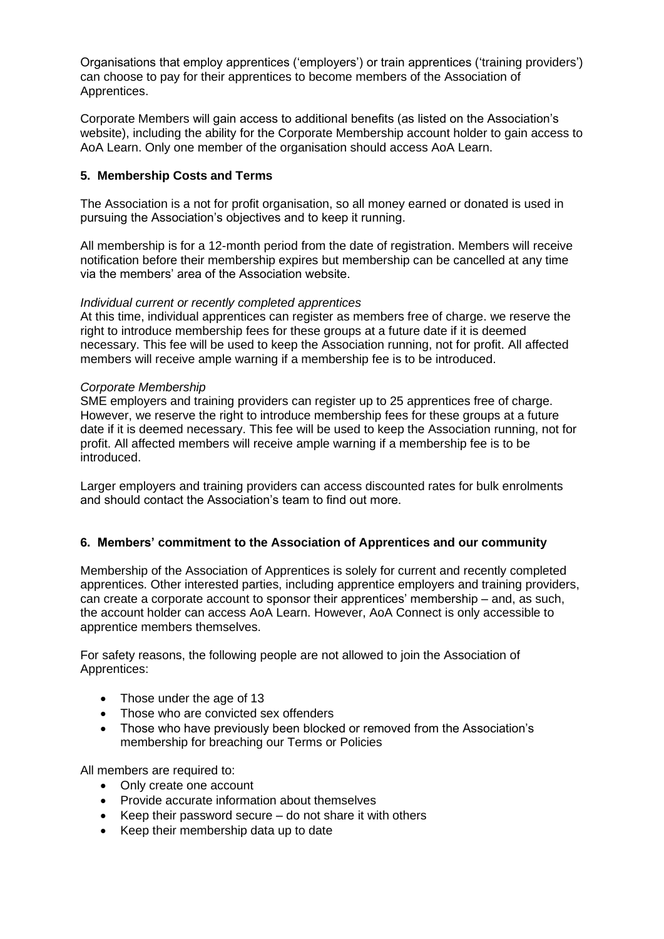Organisations that employ apprentices ('employers') or train apprentices ('training providers') can choose to pay for their apprentices to become members of the Association of Apprentices.

Corporate Members will gain access to additional benefits (as listed on the Association's website), including the ability for the Corporate Membership account holder to gain access to AoA Learn. Only one member of the organisation should access AoA Learn.

# **5. Membership Costs and Terms**

The Association is a not for profit organisation, so all money earned or donated is used in pursuing the Association's objectives and to keep it running.

All membership is for a 12-month period from the date of registration. Members will receive notification before their membership expires but membership can be cancelled at any time via the members' area of the Association website.

# *Individual current or recently completed apprentices*

At this time, individual apprentices can register as members free of charge. we reserve the right to introduce membership fees for these groups at a future date if it is deemed necessary. This fee will be used to keep the Association running, not for profit. All affected members will receive ample warning if a membership fee is to be introduced.

### *Corporate Membership*

SME employers and training providers can register up to 25 apprentices free of charge. However, we reserve the right to introduce membership fees for these groups at a future date if it is deemed necessary. This fee will be used to keep the Association running, not for profit. All affected members will receive ample warning if a membership fee is to be introduced.

Larger employers and training providers can access discounted rates for bulk enrolments and should contact the Association's team to find out more.

# **6. Members' commitment to the Association of Apprentices and our community**

Membership of the Association of Apprentices is solely for current and recently completed apprentices. Other interested parties, including apprentice employers and training providers, can create a corporate account to sponsor their apprentices' membership – and, as such, the account holder can access AoA Learn. However, AoA Connect is only accessible to apprentice members themselves.

For safety reasons, the following people are not allowed to join the Association of Apprentices:

- Those under the age of 13
- Those who are convicted sex offenders
- Those who have previously been blocked or removed from the Association's membership for breaching our Terms or Policies

All members are required to:

- Only create one account
- Provide accurate information about themselves
- Keep their password secure do not share it with others
- Keep their membership data up to date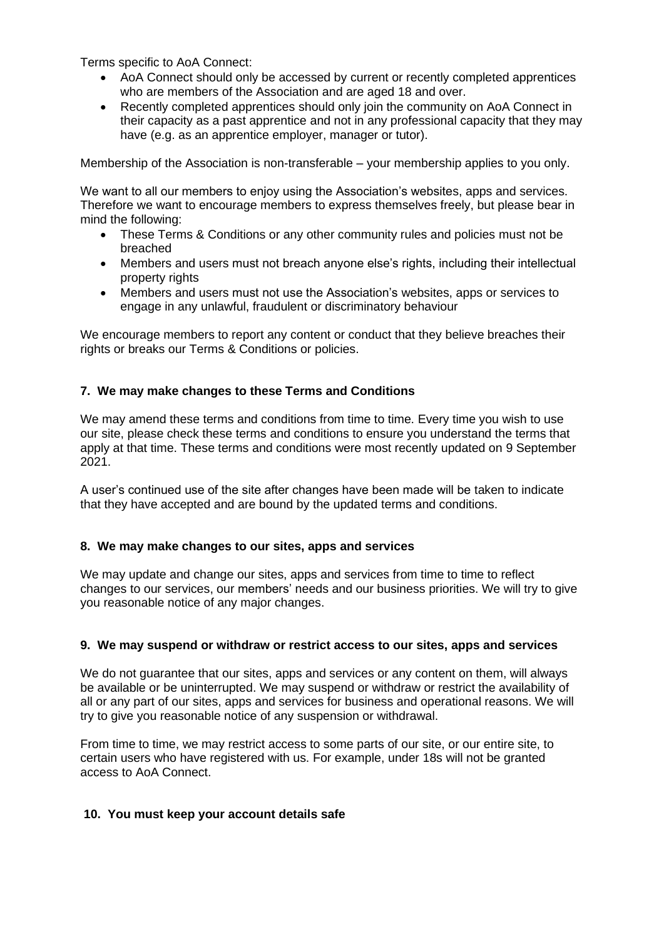Terms specific to AoA Connect:

- AoA Connect should only be accessed by current or recently completed apprentices who are members of the Association and are aged 18 and over.
- Recently completed apprentices should only join the community on AoA Connect in their capacity as a past apprentice and not in any professional capacity that they may have (e.g. as an apprentice employer, manager or tutor).

Membership of the Association is non-transferable – your membership applies to you only.

We want to all our members to enjoy using the Association's websites, apps and services. Therefore we want to encourage members to express themselves freely, but please bear in mind the following:

- These Terms & Conditions or any other community rules and policies must not be breached
- Members and users must not breach anyone else's rights, including their intellectual property rights
- Members and users must not use the Association's websites, apps or services to engage in any unlawful, fraudulent or discriminatory behaviour

We encourage members to report any content or conduct that they believe breaches their rights or breaks our Terms & Conditions or policies.

# **7. We may make changes to these Terms and Conditions**

We may amend these terms and conditions from time to time. Every time you wish to use our site, please check these terms and conditions to ensure you understand the terms that apply at that time. These terms and conditions were most recently updated on 9 September 2021.

A user's continued use of the site after changes have been made will be taken to indicate that they have accepted and are bound by the updated terms and conditions.

# **8. We may make changes to our sites, apps and services**

We may update and change our sites, apps and services from time to time to reflect changes to our services, our members' needs and our business priorities. We will try to give you reasonable notice of any major changes.

# **9. We may suspend or withdraw or restrict access to our sites, apps and services**

We do not guarantee that our sites, apps and services or any content on them, will always be available or be uninterrupted. We may suspend or withdraw or restrict the availability of all or any part of our sites, apps and services for business and operational reasons. We will try to give you reasonable notice of any suspension or withdrawal.

From time to time, we may restrict access to some parts of our site, or our entire site, to certain users who have registered with us. For example, under 18s will not be granted access to AoA Connect.

# **10. You must keep your account details safe**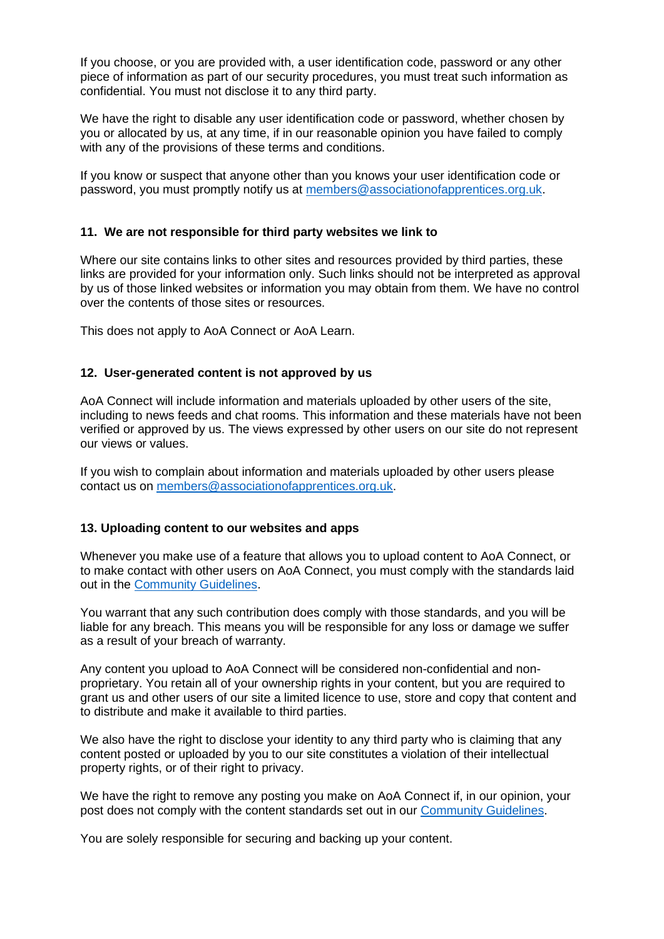If you choose, or you are provided with, a user identification code, password or any other piece of information as part of our security procedures, you must treat such information as confidential. You must not disclose it to any third party.

We have the right to disable any user identification code or password, whether chosen by you or allocated by us, at any time, if in our reasonable opinion you have failed to comply with any of the provisions of these terms and conditions.

If you know or suspect that anyone other than you knows your user identification code or password, you must promptly notify us at [members@associationofapprentices.org.uk.](mailto:members@associationofapprentices.org.uk)

### **11. We are not responsible for third party websites we link to**

Where our site contains links to other sites and resources provided by third parties, these links are provided for your information only. Such links should not be interpreted as approval by us of those linked websites or information you may obtain from them. We have no control over the contents of those sites or resources.

This does not apply to AoA Connect or AoA Learn.

### **12. User-generated content is not approved by us**

AoA Connect will include information and materials uploaded by other users of the site, including to news feeds and chat rooms. This information and these materials have not been verified or approved by us. The views expressed by other users on our site do not represent our views or values.

If you wish to complain about information and materials uploaded by other users please contact us on [members@associationofapprentices.org.uk.](mailto:members@associationofapprentices.org.uk)

#### **13. Uploading content to our websites and apps**

Whenever you make use of a feature that allows you to upload content to AoA Connect, or to make contact with other users on AoA Connect, you must comply with the standards laid out in the [Community Guidelines.](https://aoatest.flywheelsites.com/wp-content/uploads/2021/09/community-guidelines.pdf)

You warrant that any such contribution does comply with those standards, and you will be liable for any breach. This means you will be responsible for any loss or damage we suffer as a result of your breach of warranty.

Any content you upload to AoA Connect will be considered non-confidential and nonproprietary. You retain all of your ownership rights in your content, but you are required to grant us and other users of our site a limited licence to use, store and copy that content and to distribute and make it available to third parties.

We also have the right to disclose your identity to any third party who is claiming that any content posted or uploaded by you to our site constitutes a violation of their intellectual property rights, or of their right to privacy.

We have the right to remove any posting you make on AoA Connect if, in our opinion, your post does not comply with the content standards set out in our [Community Guidelines.](https://aoatest.flywheelsites.com/wp-content/uploads/2021/09/community-guidelines.pdf)

You are solely responsible for securing and backing up your content.